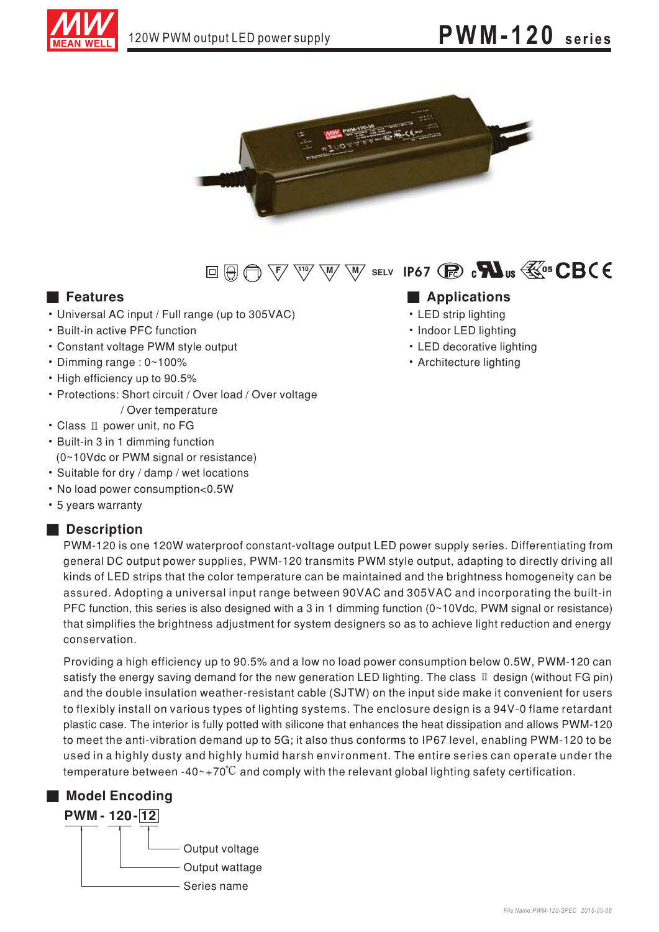



# $\text{E} \oplus \text{E} \oplus \text{E} \otimes \text{E} \otimes \text{E} \otimes \text{E} \otimes \text{E} \otimes \text{E} \otimes \text{E} \otimes \text{E} \otimes \text{E} \otimes \text{E} \otimes \text{E} \otimes \text{E} \otimes \text{E} \otimes \text{E} \otimes \text{E} \otimes \text{E} \otimes \text{E} \otimes \text{E} \otimes \text{E} \otimes \text{E} \otimes \text{E} \otimes \text{E} \otimes \text{E} \otimes \text{E} \otimes \text{E} \otimes \text{E$

### **Executer** Features

- Universal AC input / Full range (up to 305VAC)
- Built-in active PFC function
- Constant voltage PWM style output
- Dimming range: 0~100%
- High efficiency up to 90.5%
- Protections: Short circuit / Over load / Over voltage / Over temperature
- Class II power unit, no FG
- Built-in 3 in 1 dimming function
- (0~10Vdc or PWM signal or resistance)
- · Suitable for dry / damp / wet locations
- No load power consumption<0.5W
- 5 years warranty

### Description

PWM-120 is one 120W waterproof constant-voltage output LED power supply series. Differentiating from general DC output power supplies, PWM-120 transmits PWM style output, adapting to directly driving all kinds of LED strips that the color temperature can be maintained and the brightness homogeneity can be assured. Adopting a universal input range between 90VAC and 305VAC and incorporating the built-in PFC function, this series is also designed with a 3 in 1 dimming function (0~10Vdc, PWM signal or resistance) that simplifies the brightness adjustment for system designers so as to achieve light reduction and energy conservation.

Providing a high efficiency up to 90.5% and a low no load power consumption below 0.5W, PWM-120 can satisfy the energy saving demand for the new generation LED lighting. The class  $\mathbb I$  design (without FG pin) and the double insulation weather-resistant cable (SJTW) on the input side make it convenient for users to flexibly install on various types of lighting systems. The enclosure design is a 94V-0 flame retardant plastic case. The interior is fully potted with silicone that enhances the heat dissipation and allows PWM-120 to meet the anti-vibration demand up to 5G; it also thus conforms to IP67 level, enabling PWM-120 to be used in a highly dusty and highly humid harsh environment. The entire series can operate under the temperature between -40 $\sim$ +70 $\degree$ C and comply with the relevant global lighting safety certification.

# Model Encoding **PWM-120-12** Output voltage Output wattage Series name

## Applications

- LED strip lighting
- Indoor LED lighting
- LED decorative lighting
- Architecture lighting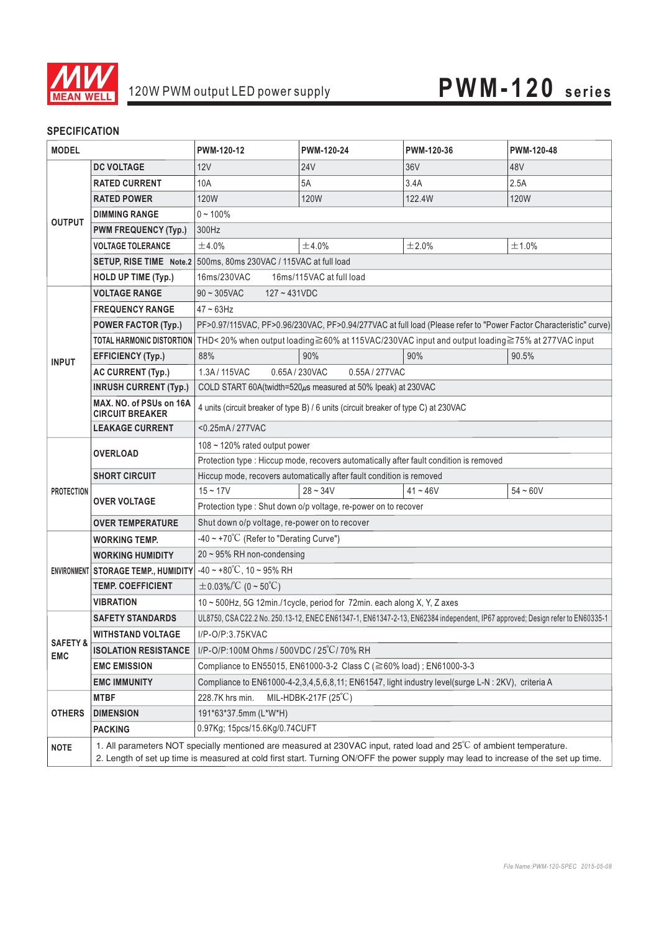

## **SPECIFICATION**

| <b>MODEL</b>                      |                                                   | PWM-120-12                                                                                                                                                                                                                                                | PWM-120-24      | PWM-120-36 | PWM-120-48 |
|-----------------------------------|---------------------------------------------------|-----------------------------------------------------------------------------------------------------------------------------------------------------------------------------------------------------------------------------------------------------------|-----------------|------------|------------|
| <b>OUTPUT</b>                     | <b>DC VOLTAGE</b>                                 | 12V                                                                                                                                                                                                                                                       | 24 <sub>V</sub> | 36V        | 48V        |
|                                   | <b>RATED CURRENT</b>                              | 10A                                                                                                                                                                                                                                                       | 5A              | 3.4A       | 2.5A       |
|                                   | <b>RATED POWER</b>                                | 120W                                                                                                                                                                                                                                                      | 120W            | 122.4W     | 120W       |
|                                   | <b>DIMMING RANGE</b>                              | $0 - 100\%$                                                                                                                                                                                                                                               |                 |            |            |
|                                   | <b>PWM FREQUENCY (Typ.)</b>                       | 300Hz                                                                                                                                                                                                                                                     |                 |            |            |
|                                   | <b>VOLTAGE TOLERANCE</b>                          | ±4.0%                                                                                                                                                                                                                                                     | ±4.0%           | ±2.0%      | ±1.0%      |
|                                   |                                                   | SETUP, RISE TIME Note.2 500ms, 80ms 230VAC / 115VAC at full load                                                                                                                                                                                          |                 |            |            |
|                                   | <b>HOLD UP TIME (Typ.)</b>                        | 16ms/230VAC<br>16ms/115VAC at full load                                                                                                                                                                                                                   |                 |            |            |
| <b>INPUT</b>                      | <b>VOLTAGE RANGE</b>                              | $90 - 305$ VAC<br>$127 - 431VDC$                                                                                                                                                                                                                          |                 |            |            |
|                                   | <b>FREQUENCY RANGE</b>                            | $47 \sim 63$ Hz                                                                                                                                                                                                                                           |                 |            |            |
|                                   | <b>POWER FACTOR (Typ.)</b>                        | PF>0.97/115VAC, PF>0.96/230VAC, PF>0.94/277VAC at full load (Please refer to "Power Factor Characteristic" curve)                                                                                                                                         |                 |            |            |
|                                   |                                                   | TOTAL HARMONIC DISTORTION THD<20% when output loading≧60% at 115VAC/230VAC input and output loading≧75% at 277VAC input                                                                                                                                   |                 |            |            |
|                                   | <b>EFFICIENCY (Typ.)</b>                          | 88%                                                                                                                                                                                                                                                       | 90%             | 90%        | 90.5%      |
|                                   | <b>AC CURRENT (Typ.)</b>                          | 1.3A/115VAC<br>0.65A/230VAC<br>0.55A/277VAC                                                                                                                                                                                                               |                 |            |            |
|                                   | <b>INRUSH CURRENT (Typ.)</b>                      | COLD START 60A(twidth=520µs measured at 50% Ipeak) at 230VAC                                                                                                                                                                                              |                 |            |            |
|                                   | MAX. NO. of PSUs on 16A<br><b>CIRCUIT BREAKER</b> | 4 units (circuit breaker of type B) / 6 units (circuit breaker of type C) at 230VAC                                                                                                                                                                       |                 |            |            |
|                                   | <b>LEAKAGE CURRENT</b>                            | <0.25mA/277VAC                                                                                                                                                                                                                                            |                 |            |            |
| <b>PROTECTION</b>                 | <b>OVERLOAD</b>                                   | $108 \sim 120\%$ rated output power                                                                                                                                                                                                                       |                 |            |            |
|                                   |                                                   | Protection type : Hiccup mode, recovers automatically after fault condition is removed                                                                                                                                                                    |                 |            |            |
|                                   | <b>SHORT CIRCUIT</b>                              | Hiccup mode, recovers automatically after fault condition is removed                                                                                                                                                                                      |                 |            |            |
|                                   | <b>OVER VOLTAGE</b>                               | $15 - 17V$                                                                                                                                                                                                                                                | $28 - 34V$      | $41 - 46V$ | $54 - 60V$ |
|                                   |                                                   | Protection type : Shut down o/p voltage, re-power on to recover                                                                                                                                                                                           |                 |            |            |
|                                   | <b>OVER TEMPERATURE</b>                           | Shut down o/p voltage, re-power on to recover                                                                                                                                                                                                             |                 |            |            |
|                                   | <b>WORKING TEMP.</b>                              | -40 ~ +70°C (Refer to "Derating Curve")                                                                                                                                                                                                                   |                 |            |            |
|                                   | <b>WORKING HUMIDITY</b>                           | 20~95% RH non-condensing                                                                                                                                                                                                                                  |                 |            |            |
|                                   | ENVIRONMENT STORAGE TEMP., HUMIDITY               | $-40 \sim +80^{\circ}$ C, 10 ~ 95% RH                                                                                                                                                                                                                     |                 |            |            |
|                                   | <b>TEMP. COEFFICIENT</b>                          | $\pm$ 0.03%/°C (0~50°C)                                                                                                                                                                                                                                   |                 |            |            |
|                                   | <b>VIBRATION</b>                                  | 10 ~ 500Hz, 5G 12min./1cycle, period for 72min. each along X, Y, Z axes                                                                                                                                                                                   |                 |            |            |
| <b>SAFETY &amp;</b><br><b>EMC</b> | <b>SAFETY STANDARDS</b>                           | UL8750, CSA C22.2 No. 250.13-12, ENEC EN61347-1, EN61347-2-13, EN62384 independent, IP67 approved; Design refer to EN60335-1                                                                                                                              |                 |            |            |
|                                   | <b>WITHSTAND VOLTAGE</b>                          | I/P-O/P:3.75KVAC                                                                                                                                                                                                                                          |                 |            |            |
|                                   | <b>ISOLATION RESISTANCE</b>                       | I/P-O/P:100M Ohms / 500VDC / 25°C/70% RH                                                                                                                                                                                                                  |                 |            |            |
|                                   | <b>EMC EMISSION</b>                               | Compliance to EN55015, EN61000-3-2 Class C (≧60% load); EN61000-3-3                                                                                                                                                                                       |                 |            |            |
|                                   | <b>EMC IMMUNITY</b>                               | Compliance to EN61000-4-2,3,4,5,6,8,11; EN61547, light industry level(surge L-N : 2KV), criteria A                                                                                                                                                        |                 |            |            |
| <b>OTHERS</b>                     | <b>MTBF</b>                                       | MIL-HDBK-217F $(25^{\circ}\mathrm{C})$<br>228.7K hrs min.                                                                                                                                                                                                 |                 |            |            |
|                                   | <b>DIMENSION</b>                                  | 191*63*37.5mm (L*W*H)                                                                                                                                                                                                                                     |                 |            |            |
|                                   | <b>PACKING</b>                                    | 0.97Kg; 15pcs/15.6Kg/0.74CUFT                                                                                                                                                                                                                             |                 |            |            |
| <b>NOTE</b>                       |                                                   | 1. All parameters NOT specially mentioned are measured at 230VAC input, rated load and 25°C of ambient temperature.<br>2. Length of set up time is measured at cold first start. Turning ON/OFF the power supply may lead to increase of the set up time. |                 |            |            |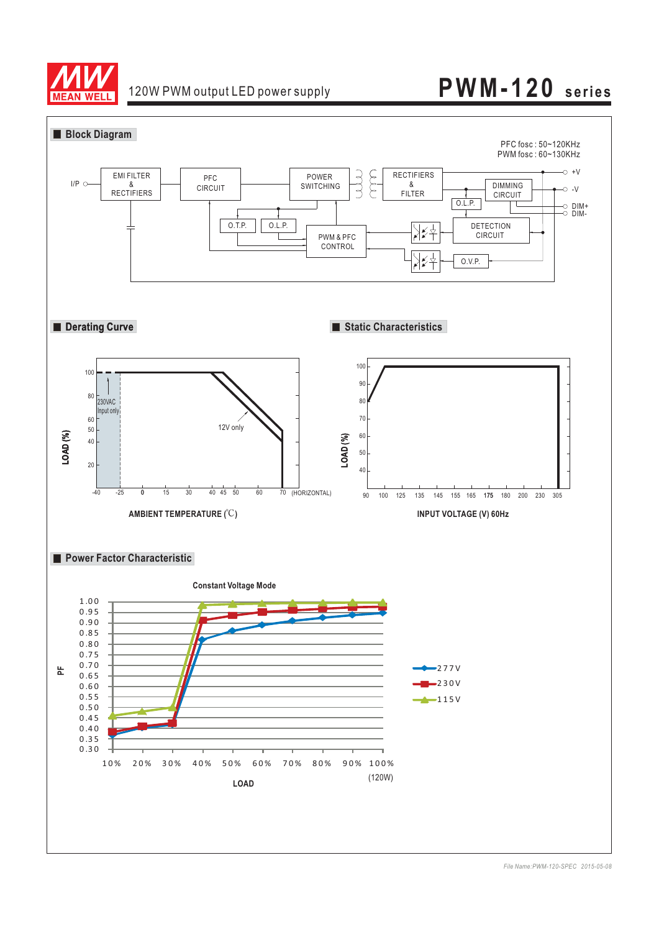

# 120W PWM output LED power supply **PWM-120 series**

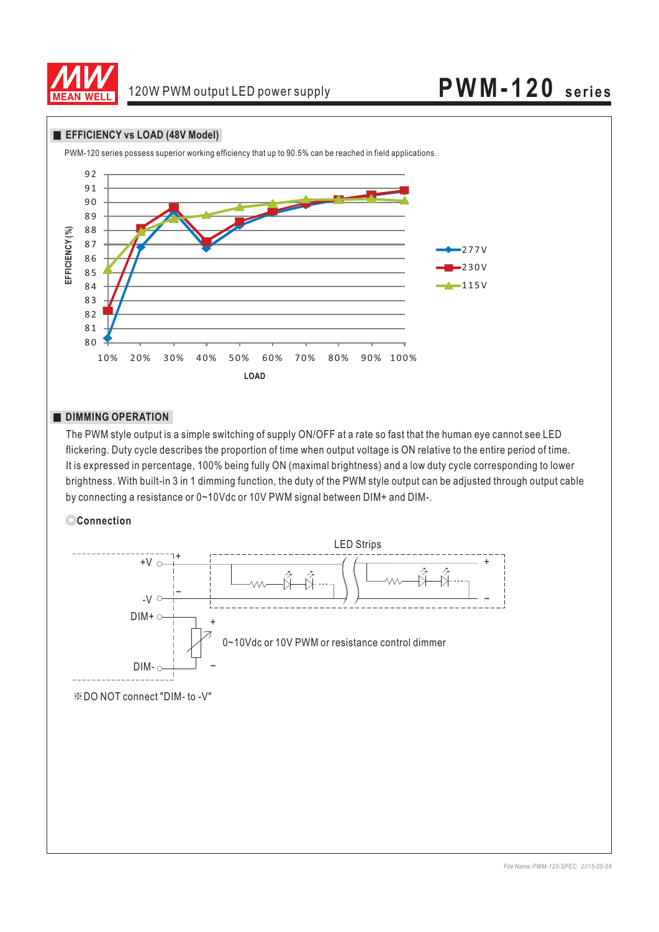

#### **EFFICIENCY vs LOAD (48V Model)**



### **DIMMING OPERATION**

The PWM style output is a simple switching of supply ON/OFF at a rate so fast that the human eye cannot see LED flickering. Duty cycle describes the proportion of time when output voltage is ON relative to the entire period of time. It is expressed in percentage, 100% being fully ON (maximal brightness) and a low duty cycle corresponding to lower brightness. With built-in 3 in 1 dimming function, the duty of the PWM style output can be adjusted through output cable by connecting a resistance or 0~10Vdc or 10V PWM signal between DIM+ and DIM-.

### ◎**Connection**

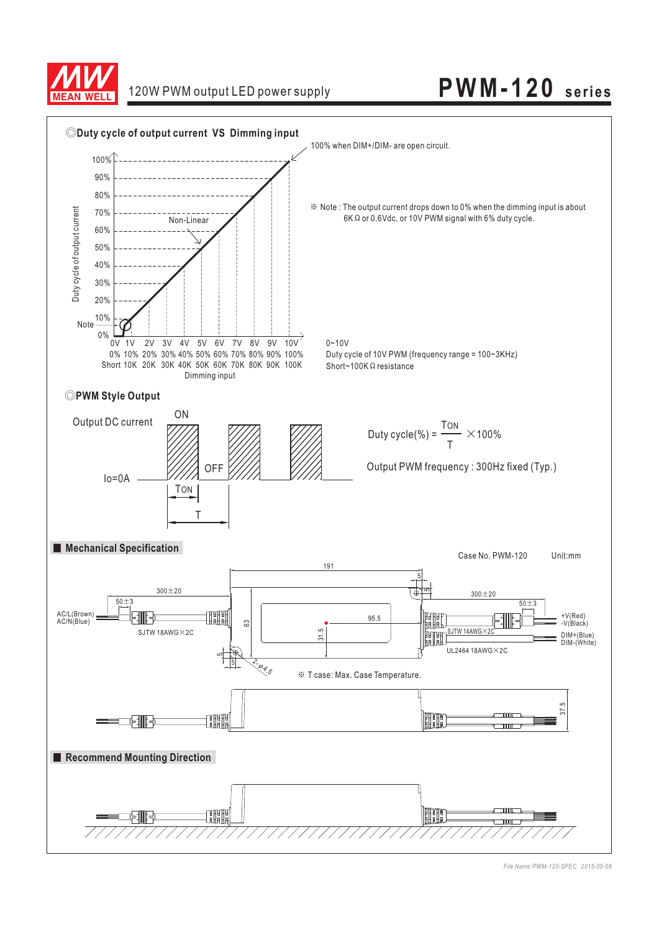

# 120W PWM output LED power supply **PWM-120 series**



*File Name:PWM-120-SPEC 2015-05-08*